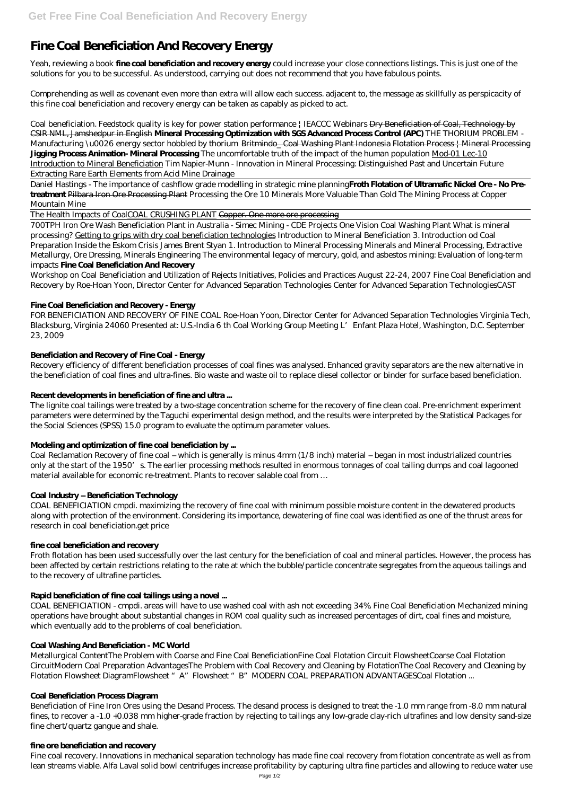# **Fine Coal Beneficiation And Recovery Energy**

Yeah, reviewing a book **fine coal beneficiation and recovery energy** could increase your close connections listings. This is just one of the solutions for you to be successful. As understood, carrying out does not recommend that you have fabulous points.

Comprehending as well as covenant even more than extra will allow each success. adjacent to, the message as skillfully as perspicacity of this fine coal beneficiation and recovery energy can be taken as capably as picked to act.

*Coal beneficiation. Feedstock quality is key for power station performance | IEACCC Webinars* Dry Beneficiation of Coal, Technology by CSIR NML, Jamshedpur in English **Mineral Processing Optimization with SGS Advanced Process Control (APC)** *THE THORIUM PROBLEM - Manufacturing \u0026 energy sector hobbled by thorium Britmindo\_ Coal Washing Plant Indonesia Flotation Process | Mineral Processing* **Jigging Process Animation- Mineral Processing** *The uncomfortable truth of the impact of the human population* Mod-01 Lec-10 Introduction to Mineral Beneficiation *Tim Napier-Munn - Innovation in Mineral Processing: Distinguished Past and Uncertain Future* Extracting Rare Earth Elements from Acid Mine Drainage

Daniel Hastings - The importance of cashflow grade modelling in strategic mine planning**Froth Flotation of Ultramafic Nickel Ore - No Pretreatment** Pilbara Iron Ore Processing Plant Processing the Ore 10 Minerals More Valuable Than Gold The Mining Process at Copper Mountain Mine

The Health Impacts of CoalCOAL CRUSHING PLANT Copper. One more ore processing

700TPH Iron Ore Wash Beneficiation Plant in Australia - Simec Mining - CDE Projects One Vision Coal Washing Plant *What is mineral processing?* Getting to grips with dry coal beneficiation technologies *Introduction to Mineral Beneficiation 3. Introduction od Coal Preparation* Inside the Eskom Crisis James Brent Styan 1. Introduction to Mineral Processing *Minerals and Mineral Processing, Extractive Metallurgy, Ore Dressing, Minerals Engineering The environmental legacy of mercury, gold, and asbestos mining: Evaluation of long-term impacts* **Fine Coal Beneficiation And Recovery**

Workshop on Coal Beneficiation and Utilization of Rejects Initiatives, Policies and Practices August 22-24, 2007 Fine Coal Beneficiation and Recovery by Roe-Hoan Yoon, Director Center for Advanced Separation Technologies Center for Advanced Separation TechnologiesCAST

## **Fine Coal Beneficiation and Recovery - Energy**

Metallurgical ContentThe Problem with Coarse and Fine Coal BeneficiationFine Coal Flotation Circuit FlowsheetCoarse Coal Flotation CircuitModern Coal Preparation AdvantagesThe Problem with Coal Recovery and Cleaning by FlotationThe Coal Recovery and Cleaning by Flotation Flowsheet DiagramFlowsheet "A" Flowsheet "B" MODERN COAL PREPARATION ADVANTAGESCoal Flotation ...

FOR BENEFICIATION AND RECOVERY OF FINE COAL Roe-Hoan Yoon, Director Center for Advanced Separation Technologies Virginia Tech, Blacksburg, Virginia 24060 Presented at: U.S.-India 6 th Coal Working Group Meeting L'Enfant Plaza Hotel, Washington, D.C. September 23, 2009

# **Beneficiation and Recovery of Fine Coal - Energy**

Recovery efficiency of different beneficiation processes of coal fines was analysed. Enhanced gravity separators are the new alternative in the beneficiation of coal fines and ultra-fines. Bio waste and waste oil to replace diesel collector or binder for surface based beneficiation.

## **Recent developments in beneficiation of fine and ultra ...**

The lignite coal tailings were treated by a two-stage concentration scheme for the recovery of fine clean coal. Pre-enrichment experiment parameters were determined by the Taguchi experimental design method, and the results were interpreted by the Statistical Packages for the Social Sciences (SPSS) 15.0 program to evaluate the optimum parameter values.

## **Modeling and optimization of fine coal beneficiation by ...**

Coal Reclamation Recovery of fine coal – which is generally is minus 4mm (1/8 inch) material – began in most industrialized countries only at the start of the 1950's. The earlier processing methods resulted in enormous tonnages of coal tailing dumps and coal lagooned material available for economic re-treatment. Plants to recover salable coal from …

## **Coal Industry – Beneficiation Technology**

COAL BENEFICIATION cmpdi. maximizing the recovery of fine coal with minimum possible moisture content in the dewatered products along with protection of the environment. Considering its importance, dewatering of fine coal was identified as one of the thrust areas for research in coal beneficiation.get price

## **fine coal beneficiation and recovery**

Froth flotation has been used successfully over the last century for the beneficiation of coal and mineral particles. However, the process has been affected by certain restrictions relating to the rate at which the bubble/particle concentrate segregates from the aqueous tailings and to the recovery of ultrafine particles.

#### **Rapid beneficiation of fine coal tailings using a novel ...**

COAL BENEFICIATION - cmpdi. areas will have to use washed coal with ash not exceeding 34%. Fine Coal Beneficiation Mechanized mining operations have brought about substantial changes in ROM coal quality such as increased percentages of dirt, coal fines and moisture, which eventually add to the problems of coal beneficiation.

## **Coal Washing And Beneficiation - MC World**

## **Coal Beneficiation Process Diagram**

Beneficiation of Fine Iron Ores using the Desand Process. The desand process is designed to treat the -1.0 mm range from -8.0 mm natural fines, to recover a -1.0 +0.038 mm higher-grade fraction by rejecting to tailings any low-grade clay-rich ultrafines and low density sand-size fine chert/quartz gangue and shale.

#### **fine ore beneficiation and recovery**

Fine coal recovery. Innovations in mechanical separation technology has made fine coal recovery from flotation concentrate as well as from lean streams viable. Alfa Laval solid bowl centrifuges increase profitability by capturing ultra fine particles and allowing to reduce water use